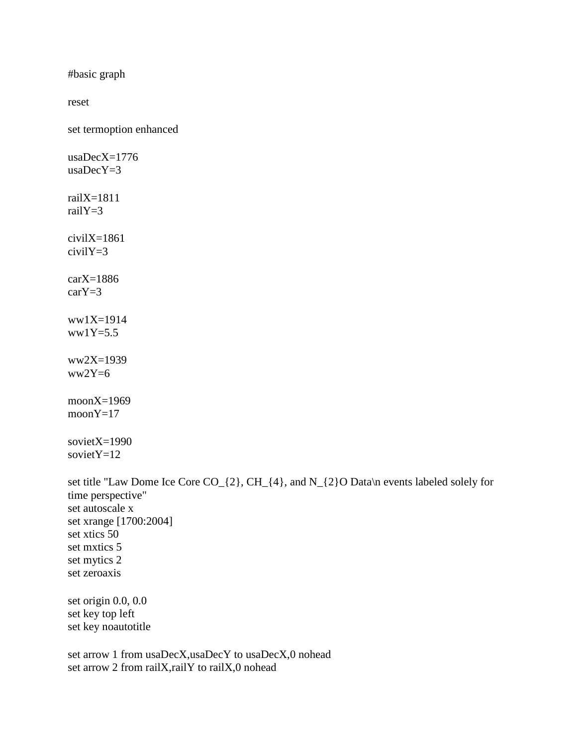#basic graph

reset

set termoption enhanced

usaDecX=1776 usaDecY=3 railX=1811 railY=3 civilX=1861 civilY=3  $carX=1886$ carY=3 ww1X=1914  $ww1Y=5.5$  $ww2X=1939$  $ww2Y=6$ moonX=1969 moonY=17 sovietX=1990 sovietY=12

set title "Law Dome Ice Core CO<sub>\_{2}</sub>, CH\_{4}, and N\_{2}O Data\n events labeled solely for time perspective" set autoscale x set xrange [1700:2004] set xtics 50 set mxtics 5 set mytics 2 set zeroaxis set origin 0.0, 0.0 set key top left set key noautotitle set arrow 1 from usaDecX,usaDecY to usaDecX,0 nohead

set arrow 2 from railX,railY to railX,0 nohead